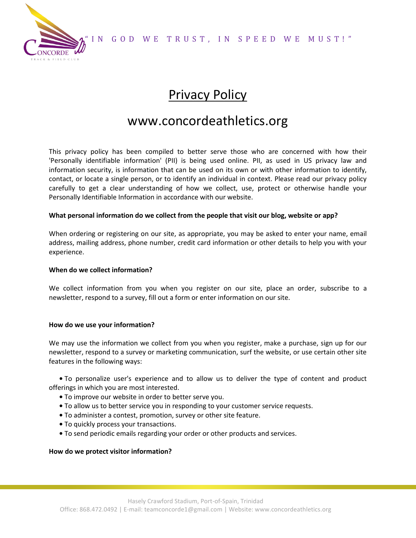IN GOD WE TRUST, IN SPEED WE MUST!"



# **Privacy Policy**

## www.concordeathletics.org

This privacy policy has been compiled to better serve those who are concerned with how their 'Personally identifiable information' (PII) is being used online. PII, as used in US privacy law and information security, is information that can be used on its own or with other information to identify, contact, or locate a single person, or to identify an individual in context. Please read our privacy policy carefully to get a clear understanding of how we collect, use, protect or otherwise handle your Personally Identifiable Information in accordance with our website.

#### **What personal information do we collect from the people that visit our blog, website or app?**

When ordering or registering on our site, as appropriate, you may be asked to enter your name, email address, mailing address, phone number, credit card information or other details to help you with your experience.

#### **When do we collect information?**

We collect information from you when you register on our site, place an order, subscribe to a newsletter, respond to a survey, fill out a form or enter information on our site.

#### **How do we use your information?**

We may use the information we collect from you when you register, make a purchase, sign up for our newsletter, respond to a survey or marketing communication, surf the website, or use certain other site features in the following ways:

 **•** To personalize user's experience and to allow us to deliver the type of content and product offerings in which you are most interested.

- **•** To improve our website in order to better serve you.
- **•** To allow us to better service you in responding to your customer service requests.
- **•** To administer a contest, promotion, survey or other site feature.
- **•** To quickly process your transactions.
- **•** To send periodic emails regarding your order or other products and services.

#### **How do we protect visitor information?**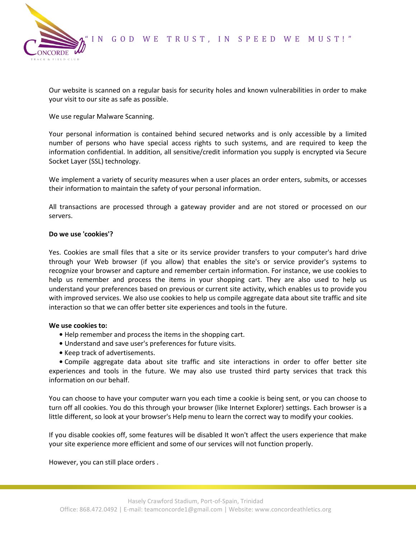

Our website is scanned on a regular basis for security holes and known vulnerabilities in order to make your visit to our site as safe as possible.

We use regular Malware Scanning.

Your personal information is contained behind secured networks and is only accessible by a limited number of persons who have special access rights to such systems, and are required to keep the information confidential. In addition, all sensitive/credit information you supply is encrypted via Secure Socket Layer (SSL) technology.

We implement a variety of security measures when a user places an order enters, submits, or accesses their information to maintain the safety of your personal information.

All transactions are processed through a gateway provider and are not stored or processed on our servers.

#### **Do we use 'cookies'?**

Yes. Cookies are small files that a site or its service provider transfers to your computer's hard drive through your Web browser (if you allow) that enables the site's or service provider's systems to recognize your browser and capture and remember certain information. For instance, we use cookies to help us remember and process the items in your shopping cart. They are also used to help us understand your preferences based on previous or current site activity, which enables us to provide you with improved services. We also use cookies to help us compile aggregate data about site traffic and site interaction so that we can offer better site experiences and tools in the future.

#### **We use cookies to:**

- **•** Help remember and process the items in the shopping cart.
- **•** Understand and save user's preferences for future visits.
- **•** Keep track of advertisements.

 **•** Compile aggregate data about site traffic and site interactions in order to offer better site experiences and tools in the future. We may also use trusted third party services that track this information on our behalf.

You can choose to have your computer warn you each time a cookie is being sent, or you can choose to turn off all cookies. You do this through your browser (like Internet Explorer) settings. Each browser is a little different, so look at your browser's Help menu to learn the correct way to modify your cookies.

If you disable cookies off, some features will be disabled It won't affect the users experience that make your site experience more efficient and some of our services will not function properly.

However, you can still place orders .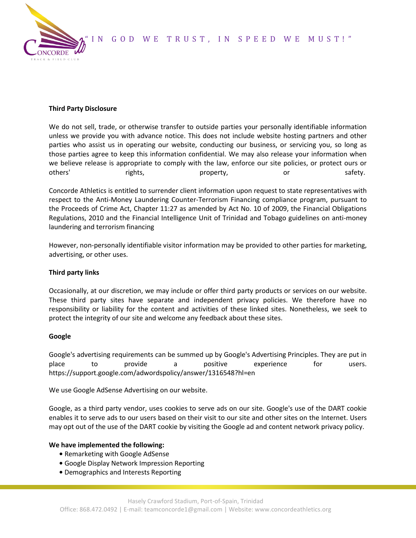

## **Third Party Disclosure**

We do not sell, trade, or otherwise transfer to outside parties your personally identifiable information unless we provide you with advance notice. This does not include website hosting partners and other parties who assist us in operating our website, conducting our business, or servicing you, so long as those parties agree to keep this information confidential. We may also release your information when we believe release is appropriate to comply with the law, enforce our site policies, or protect ours or others' heating rights, and the property, and the corresponding to the safety.

Concorde Athletics is entitled to surrender client information upon request to state representatives with respect to the Anti-Money Laundering Counter-Terrorism Financing compliance program, pursuant to the Proceeds of Crime Act, Chapter 11:27 as amended by Act No. 10 of 2009, the Financial Obligations Regulations, 2010 and the Financial Intelligence Unit of Trinidad and Tobago guidelines on anti-money laundering and terrorism financing

However, non-personally identifiable visitor information may be provided to other parties for marketing, advertising, or other uses.

#### **Third party links**

Occasionally, at our discretion, we may include or offer third party products or services on our website. These third party sites have separate and independent privacy policies. We therefore have no responsibility or liability for the content and activities of these linked sites. Nonetheless, we seek to protect the integrity of our site and welcome any feedback about these sites.

#### **Google**

Google's advertising requirements can be summed up by Google's Advertising Principles. They are put in place to provide a positive experience for users. https://support.google.com/adwordspolicy/answer/1316548?hl=en

We use Google AdSense Advertising on our website.

Google, as a third party vendor, uses cookies to serve ads on our site. Google's use of the DART cookie enables it to serve ads to our users based on their visit to our site and other sites on the Internet. Users may opt out of the use of the DART cookie by visiting the Google ad and content network privacy policy.

#### **We have implemented the following:**

- **•** Remarketing with Google AdSense
- **•** Google Display Network Impression Reporting
- **•** Demographics and Interests Reporting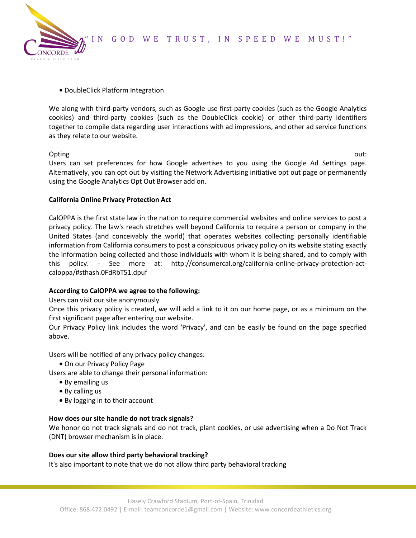**•** DoubleClick Platform Integration

We along with third-party vendors, such as Google use first-party cookies (such as the Google Analytics cookies) and third-party cookies (such as the DoubleClick cookie) or other third-party identifiers together to compile data regarding user interactions with ad impressions, and other ad service functions as they relate to our website.

#### Opting out: the contract of the contract of the contract of the contract of the contract of the contract of the contract of the contract of the contract of the contract of the contract of the contract of the contract of th

Users can set preferences for how Google advertises to you using the Google Ad Settings page. Alternatively, you can opt out by visiting the Network Advertising initiative opt out page or permanently using the Google Analytics Opt Out Browser add on.

### **California Online Privacy Protection Act**

CalOPPA is the first state law in the nation to require commercial websites and online services to post a privacy policy. The law's reach stretches well beyond California to require a person or company in the United States (and conceivably the world) that operates websites collecting personally identifiable information from California consumers to post a conspicuous privacy policy on its website stating exactly the information being collected and those individuals with whom it is being shared, and to comply with this policy. - See more at: http://consumercal.org/california-online-privacy-protection-actcaloppa/#sthash.0FdRbT51.dpuf

## **According to CalOPPA we agree to the following:**

Users can visit our site anonymously

Once this privacy policy is created, we will add a link to it on our home page, or as a minimum on the first significant page after entering our website.

Our Privacy Policy link includes the word 'Privacy', and can be easily be found on the page specified above.

Users will be notified of any privacy policy changes:

**•** On our Privacy Policy Page

Users are able to change their personal information:

- **•** By emailing us
- **•** By calling us
- **•** By logging in to their account

## **How does our site handle do not track signals?**

We honor do not track signals and do not track, plant cookies, or use advertising when a Do Not Track (DNT) browser mechanism is in place.

#### **Does our site allow third party behavioral tracking?**

It's also important to note that we do not allow third party behavioral tracking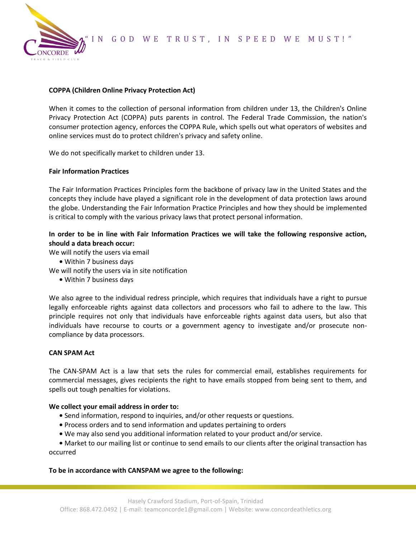

#### **COPPA (Children Online Privacy Protection Act)**

When it comes to the collection of personal information from children under 13, the Children's Online Privacy Protection Act (COPPA) puts parents in control. The Federal Trade Commission, the nation's consumer protection agency, enforces the COPPA Rule, which spells out what operators of websites and online services must do to protect children's privacy and safety online.

We do not specifically market to children under 13.

#### **Fair Information Practices**

The Fair Information Practices Principles form the backbone of privacy law in the United States and the concepts they include have played a significant role in the development of data protection laws around the globe. Understanding the Fair Information Practice Principles and how they should be implemented is critical to comply with the various privacy laws that protect personal information.

### **In order to be in line with Fair Information Practices we will take the following responsive action, should a data breach occur:**

We will notify the users via email

**•** Within 7 business days

We will notify the users via in site notification

**•** Within 7 business days

We also agree to the individual redress principle, which requires that individuals have a right to pursue legally enforceable rights against data collectors and processors who fail to adhere to the law. This principle requires not only that individuals have enforceable rights against data users, but also that individuals have recourse to courts or a government agency to investigate and/or prosecute noncompliance by data processors.

#### **CAN SPAM Act**

The CAN-SPAM Act is a law that sets the rules for commercial email, establishes requirements for commercial messages, gives recipients the right to have emails stopped from being sent to them, and spells out tough penalties for violations.

#### **We collect your email address in order to:**

- **•** Send information, respond to inquiries, and/or other requests or questions.
- **•** Process orders and to send information and updates pertaining to orders
- **•** We may also send you additional information related to your product and/or service.

 **•** Market to our mailing list or continue to send emails to our clients after the original transaction has occurred

#### **To be in accordance with CANSPAM we agree to the following:**